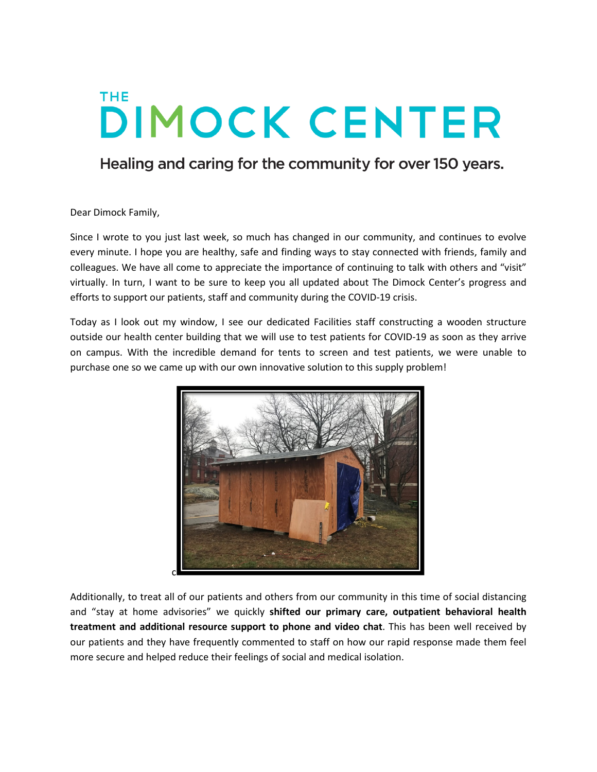## **THE DIMOCK CENTER**

## Healing and caring for the community for over 150 years.

Dear Dimock Family,

Since I wrote to you just last week, so much has changed in our community, and continues to evolve every minute. I hope you are healthy, safe and finding ways to stay connected with friends, family and colleagues. We have all come to appreciate the importance of continuing to talk with others and "visit" virtually. In turn, I want to be sure to keep you all updated about The Dimock Center's progress and efforts to support our patients, staff and community during the COVID-19 crisis.

Today as I look out my window, I see our dedicated Facilities staff constructing a wooden structure outside our health center building that we will use to test patients for COVID-19 as soon as they arrive on campus. With the incredible demand for tents to screen and test patients, we were unable to purchase one so we came up with our own innovative solution to this supply problem!



Additionally, to treat all of our patients and others from our community in this time of social distancing and "stay at home advisories" we quickly **shifted our primary care, outpatient behavioral health treatment and additional resource support to phone and video chat**. This has been well received by our patients and they have frequently commented to staff on how our rapid response made them feel more secure and helped reduce their feelings of social and medical isolation.